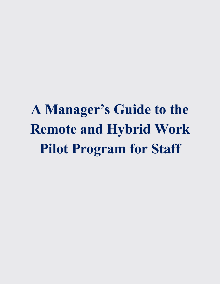**A Manager's Guide to the Remote and Hybrid Work Pilot Program for Staff**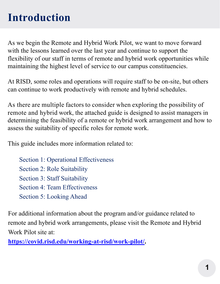#### **Introduction**

As we begin the Remote and Hybrid Work Pilot, we want to move forward with the lessons learned over the last year and continue to support the flexibility of our staff in terms of remote and hybrid work opportunities while maintaining the highest level of service to our campus constituencies.

At RISD, some roles and operations will require staff to be on-site, but others can continue to work productively with remote and hybrid schedules.

As there are multiple factors to consider when exploring the possibility of remote and hybrid work, the attached guide is designed to assist managers in determining the feasibility of a remote or hybrid work arrangement and how to assess the suitability of specific roles for remote work.

This guide includes more information related to:

Section 1: Operational Effectiveness Section 2: Role Suitability Section 3: Staff Suitability Section 4: Team Effectiveness Section 5: Looking Ahead

For additional information about the program and/or guidance related to remote and hybrid work arrangements, please visit the Remote and Hybrid Work Pilot site at:

**[https://covid.risd.edu/working-at-risd/work-pilot/.](https://covid.risd.edu/working-at-risd/work-pilot/)**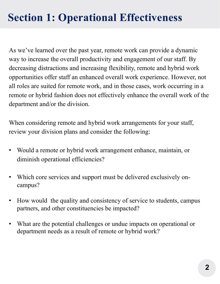### **Section 1: Operational Effectiveness**

As we've learned over the past year, remote work can provide a dynamic way to increase the overall productivity and engagement of our staff. By decreasing distractions and increasing flexibility, remote and hybrid work opportunities offer staff an enhanced overall work experience. However, not all roles are suited for remote work, and in those cases, work occurring in a remote or hybrid fashion does not effectively enhance the overall work of the department and/or the division.

When considering remote and hybrid work arrangements for your staff, review your division plans and consider the following:

- Would a remote or hybrid work arrangement enhance, maintain, or diminish operational efficiencies?
- Which core services and support must be delivered exclusively oncampus?
- How would the quality and consistency of service to students, campus partners, and other constituencies be impacted?
- What are the potential challenges or undue impacts on operational or department needs as a result of remote or hybrid work?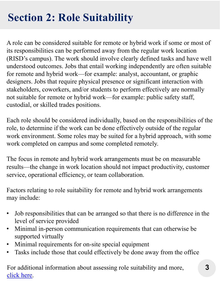# **Section 2: Role Suitability**

A role can be considered suitable for remote or hybrid work if some or most of its responsibilities can be performed away from the regular work location (RISD's campus). The work should involve clearly defined tasks and have well understood outcomes. Jobs that entail working independently are often suitable for remote and hybrid work—for example: analyst, accountant, or graphic designers. Jobs that require physical presence or significant interaction with stakeholders, coworkers, and/or students to perform effectively are normally not suitable for remote or hybrid work—for example: public safety staff, custodial, or skilled trades positions.

Each role should be considered individually, based on the responsibilities of the role, to determine if the work can be done effectively outside of the regular work environment. Some roles may be suited for a hybrid approach, with some work completed on campus and some completed remotely.

The focus in remote and hybrid work arrangements must be on measurable results—the change in work location should not impact productivity, customer service, operational efficiency, or team collaboration.

Factors relating to role suitability for remote and hybrid work arrangements may include:

- Job responsibilities that can be arranged so that there is no difference in the level of service provided
- Minimal in-person communication requirements that can otherwise be supported virtually
- Minimal requirements for on-site special equipment
- Tasks include those that could effectively be done away from the office

For additional information about assessing role suitability and more, [click here.](https://covid.risd.edu/wp-content/uploads/2021/08/Remote-and-Hybrid-Work-Pilot-Assessment-Tool-8.1.21.pdf)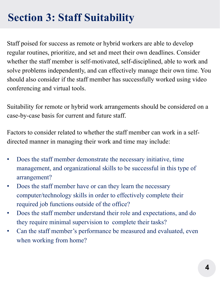# **Section 3: Staff Suitability**

Staff poised for success as remote or hybrid workers are able to develop regular routines, prioritize, and set and meet their own deadlines. Consider whether the staff member is self-motivated, self-disciplined, able to work and solve problems independently, and can effectively manage their own time. You should also consider if the staff member has successfully worked using video conferencing and virtual tools.

Suitability for remote or hybrid work arrangements should be considered on a case-by-case basis for current and future staff.

Factors to consider related to whether the staff member can work in a selfdirected manner in managing their work and time may include:

- Does the staff member demonstrate the necessary initiative, time management, and organizational skills to be successful in this type of arrangement?
- Does the staff member have or can they learn the necessary computer/technology skills in order to effectively complete their required job functions outside of the office?
- Does the staff member understand their role and expectations, and do they require minimal supervision to complete their tasks?
- Can the staff member's performance be measured and evaluated, even when working from home?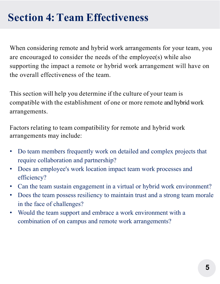### **Section 4:Team Effectiveness**

When considering remote and hybrid work arrangements for your team, you are encouraged to consider the needs of the employee(s) while also supporting the impact a remote or hybrid work arrangement will have on the overall effectiveness of the team.

This section will help you determine if the culture of your team is compatible with the establishment of one or more remote and hybrid work arrangements.

Factors relating to team compatibility for remote and hybrid work arrangements may include:

- Do team members frequently work on detailed and complex projects that require collaboration and partnership?
- Does an employee's work location impact team work processes and efficiency?
- Can the team sustain engagement in a virtual or hybrid work environment?
- Does the team possess resiliency to maintain trust and a strong team morale in the face of challenges?
- Would the team support and embrace a work environment with a combination of on campus and remote work arrangements?